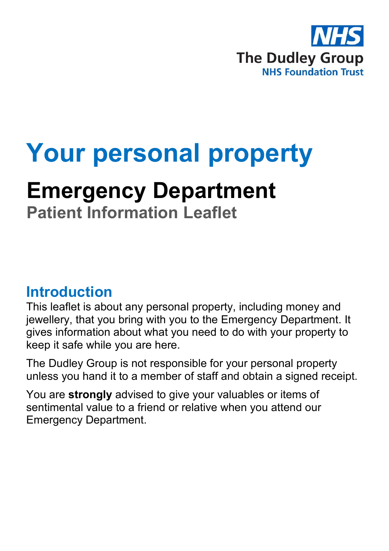

# **Your personal property**

## **Emergency Department**

**Patient Information Leaflet**

#### **Introduction**

This leaflet is about any personal property, including money and jewellery, that you bring with you to the Emergency Department. It gives information about what you need to do with your property to keep it safe while you are here.

The Dudley Group is not responsible for your personal property unless you hand it to a member of staff and obtain a signed receipt.

You are **strongly** advised to give your valuables or items of sentimental value to a friend or relative when you attend our Emergency Department.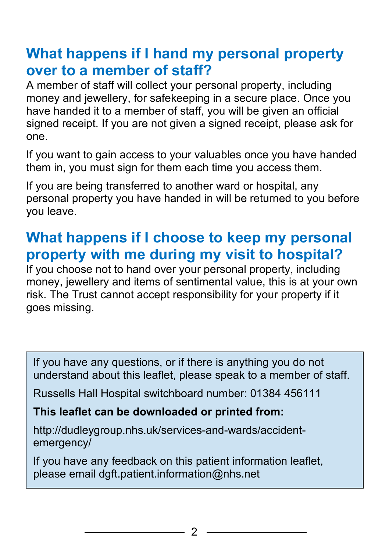### **What happens if I hand my personal property over to a member of staff?**

A member of staff will collect your personal property, including money and jewellery, for safekeeping in a secure place. Once you have handed it to a member of staff, you will be given an official signed receipt. If you are not given a signed receipt, please ask for one.

If you want to gain access to your valuables once you have handed them in, you must sign for them each time you access them.

If you are being transferred to another ward or hospital, any personal property you have handed in will be returned to you before you leave.

### **What happens if I choose to keep my personal property with me during my visit to hospital?**

If you choose not to hand over your personal property, including money, jewellery and items of sentimental value, this is at your own risk. The Trust cannot accept responsibility for your property if it goes missing.

If you have any questions, or if there is anything you do not understand about this leaflet, please speak to a member of staff.

Russells Hall Hospital switchboard number: 01384 456111

#### **This leaflet can be downloaded or printed from:**

http://dudleygroup.nhs.uk/services-and-wards/accidentemergency/

If you have any feedback on this patient information leaflet, please email dgft.patient.information@nhs.net